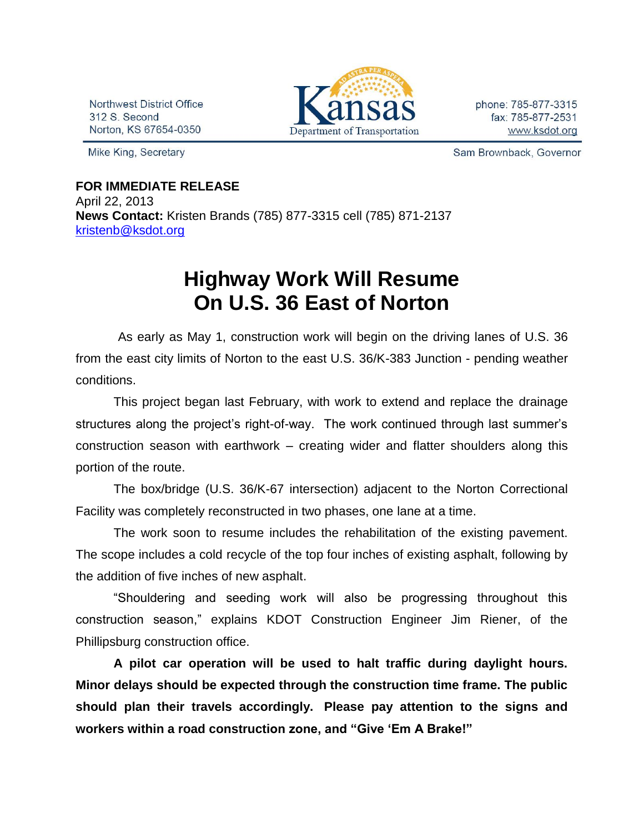Northwest District Office 312 S. Second Norton, KS 67654-0350

Mike King, Secretary



phone: 785-877-3315 fax: 785-877-2531 www.ksdot.org

Sam Brownback, Governor

## **FOR IMMEDIATE RELEASE** April 22, 2013

**News Contact:** Kristen Brands (785) 877-3315 cell (785) 871-2137 [kristenb@ksdot.org](mailto:kristenb@ksdot.org)

## **Highway Work Will Resume On U.S. 36 East of Norton**

 As early as May 1, construction work will begin on the driving lanes of U.S. 36 from the east city limits of Norton to the east U.S. 36/K-383 Junction - pending weather conditions.

This project began last February, with work to extend and replace the drainage structures along the project's right-of-way. The work continued through last summer's construction season with earthwork – creating wider and flatter shoulders along this portion of the route.

The box/bridge (U.S. 36/K-67 intersection) adjacent to the Norton Correctional Facility was completely reconstructed in two phases, one lane at a time.

The work soon to resume includes the rehabilitation of the existing pavement. The scope includes a cold recycle of the top four inches of existing asphalt, following by the addition of five inches of new asphalt.

"Shouldering and seeding work will also be progressing throughout this construction season," explains KDOT Construction Engineer Jim Riener, of the Phillipsburg construction office.

**A pilot car operation will be used to halt traffic during daylight hours. Minor delays should be expected through the construction time frame. The public should plan their travels accordingly. Please pay attention to the signs and workers within a road construction zone, and "Give 'Em A Brake!"**